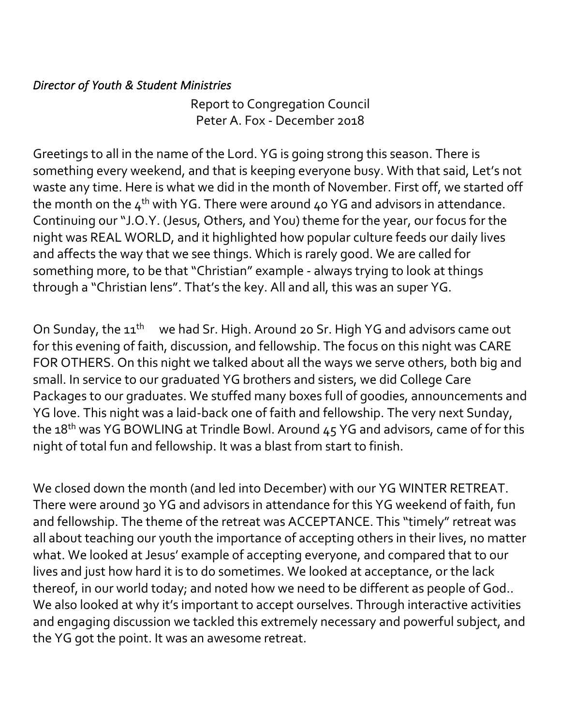## *Director of Youth & Student Ministries*

Report to Congregation Council Peter A. Fox - December 2018

Greetings to all in the name of the Lord. YG is going strong this season. There is something every weekend, and that is keeping everyone busy. With that said, Let's not waste any time. Here is what we did in the month of November. First off, we started off the month on the  $4^{th}$  with YG. There were around  $40$  YG and advisors in attendance. Continuing our "J.O.Y. (Jesus, Others, and You) theme for the year, our focus for the night was REAL WORLD, and it highlighted how popular culture feeds our daily lives and affects the way that we see things. Which is rarely good. We are called for something more, to be that "Christian" example - always trying to look at things through a "Christian lens". That's the key. All and all, this was an super YG.

On Sunday, the 11<sup>th</sup> we had Sr. High. Around 20 Sr. High YG and advisors came out for this evening of faith, discussion, and fellowship. The focus on this night was CARE FOR OTHERS. On this night we talked about all the ways we serve others, both big and small. In service to our graduated YG brothers and sisters, we did College Care Packages to our graduates. We stuffed many boxes full of goodies, announcements and YG love. This night was a laid-back one of faith and fellowship. The very next Sunday, the  $18<sup>th</sup>$  was YG BOWLING at Trindle Bowl. Around  $45$  YG and advisors, came of for this night of total fun and fellowship. It was a blast from start to finish.

We closed down the month (and led into December) with our YG WINTER RETREAT. There were around 30 YG and advisors in attendance for this YG weekend of faith, fun and fellowship. The theme of the retreat was ACCEPTANCE. This "timely" retreat was all about teaching our youth the importance of accepting others in their lives, no matter what. We looked at Jesus' example of accepting everyone, and compared that to our lives and just how hard it is to do sometimes. We looked at acceptance, or the lack thereof, in our world today; and noted how we need to be different as people of God.. We also looked at why it's important to accept ourselves. Through interactive activities and engaging discussion we tackled this extremely necessary and powerful subject, and the YG got the point. It was an awesome retreat.